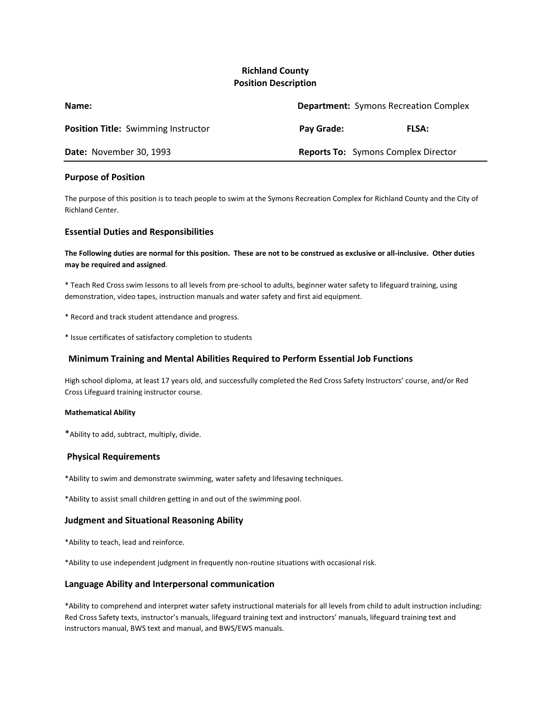# **Richland County Position Description**

| Name:                                      | <b>Department:</b> Symons Recreation Complex |              |
|--------------------------------------------|----------------------------------------------|--------------|
| <b>Position Title:</b> Swimming Instructor | Pay Grade:                                   | <b>FLSA:</b> |
| Date: November 30, 1993                    | <b>Reports To:</b> Symons Complex Director   |              |

## **Purpose of Position**

The purpose of this position is to teach people to swim at the Symons Recreation Complex for Richland County and the City of Richland Center.

## **Essential Duties and Responsibilities**

**The Following duties are normal for this position. These are not to be construed as exclusive or all-inclusive. Other duties may be required and assigned**.

\* Teach Red Cross swim lessons to all levels from pre-school to adults, beginner water safety to lifeguard training, using demonstration, video tapes, instruction manuals and water safety and first aid equipment.

- \* Record and track student attendance and progress.
- \* Issue certificates of satisfactory completion to students

## **Minimum Training and Mental Abilities Required to Perform Essential Job Functions**

High school diploma, at least 17 years old, and successfully completed the Red Cross Safety Instructors' course, and/or Red Cross Lifeguard training instructor course.

#### **Mathematical Ability**

\*Ability to add, subtract, multiply, divide.

#### **Physical Requirements**

\*Ability to swim and demonstrate swimming, water safety and lifesaving techniques.

\*Ability to assist small children getting in and out of the swimming pool.

## **Judgment and Situational Reasoning Ability**

\*Ability to teach, lead and reinforce.

\*Ability to use independent judgment in frequently non-routine situations with occasional risk.

#### **Language Ability and Interpersonal communication**

\*Ability to comprehend and interpret water safety instructional materials for all levels from child to adult instruction including: Red Cross Safety texts, instructor's manuals, lifeguard training text and instructors' manuals, lifeguard training text and instructors manual, BWS text and manual, and BWS/EWS manuals.